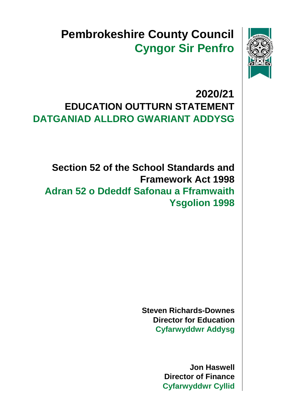

# **Pembrokeshire County Council Cyngor Sir Penfro**

## **2020/21 EDUCATION OUTTURN STATEMENT DATGANIAD ALLDRO GWARIANT ADDYSG**

 **Adran 52 o Ddeddf Safonau a Fframwaith Ysgolion 1998 Section 52 of the School Standards and Framework Act 1998**

> **Steven Richards-Downes Director for Education Cyfarwyddwr Addysg**

> > **Jon Haswell Director of Finance Cyfarwyddwr Cyllid**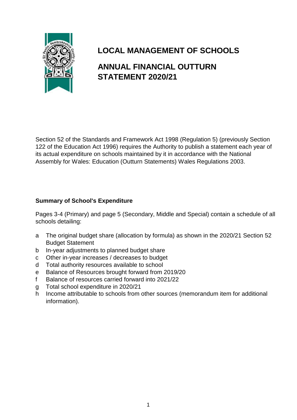

## **LOCAL MANAGEMENT OF SCHOOLS**

#### **ANNUAL FINANCIAL OUTTURN STATEMENT 2020/21**

Section 52 of the Standards and Framework Act 1998 (Regulation 5) (previously Section 122 of the Education Act 1996) requires the Authority to publish a statement each year of its actual expenditure on schools maintained by it in accordance with the National Assembly for Wales: Education (Outturn Statements) Wales Regulations 2003.

#### **Summary of School's Expenditure**

Pages 3-4 (Primary) and page 5 (Secondary, Middle and Special) contain a schedule of all schools detailing:

- a The original budget share (allocation by formula) as shown in the 2020/21 Section 52 Budget Statement
- b In-year adjustments to planned budget share
- c Other in-year increases / decreases to budget
- d Total authority resources available to school
- e Balance of Resources brought forward from 2019/20
- f Balance of resources carried forward into 2021/22
- g Total school expenditure in 2020/21
- h Income attributable to schools from other sources (memorandum item for additional information).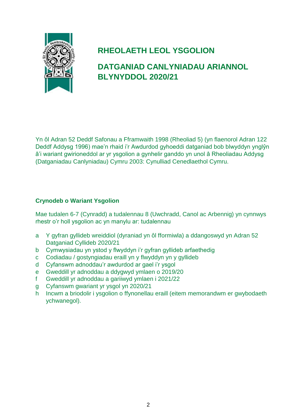

## **RHEOLAETH LEOL YSGOLION**

### **DATGANIAD CANLYNIADAU ARIANNOL BLYNYDDOL 2020/21**

Yn ôl Adran 52 Deddf Safonau a Fframwaith 1998 (Rheoliad 5) (yn flaenorol Adran 122 Deddf Addysg 1996) mae'n rhaid i'r Awdurdod gyhoeddi datganiad bob blwyddyn ynglŷn â'i wariant gwirioneddol ar yr ysgolion a gynhelir ganddo yn unol â Rheoliadau Addysg (Datganiadau Canlyniadau) Cymru 2003: Cynulliad Cenedlaethol Cymru.

#### **Crynodeb o Wariant Ysgolion**

Mae tudalen 6-7 (Cynradd) a tudalennau 8 (Uwchradd, Canol ac Arbennig) yn cynnwys rhestr o'r holl ysgolion ac yn manylu ar: tudalennau

- a Y gyfran gyllideb wreiddiol (dyraniad yn ôl fformiwla) a ddangoswyd yn Adran 52 Datganiad Cyllideb 2020/21
- b Cymwysiadau yn ystod y flwyddyn i'r gyfran gyllideb arfaethedig
- c Codiadau / gostyngiadau eraill yn y flwyddyn yn y gyllideb
- d Cyfanswm adnoddau'r awdurdod ar gael i'r ysgol
- e Gweddill yr adnoddau a ddygwyd ymlaen o 2019/20
- f Gweddill yr adnoddau a gariiwyd ymlaen i 2021/22
- g Cyfanswm gwariant yr ysgol yn 2020/21
- h Incwm a briodolir i ysgolion o ffynonellau eraill (eitem memorandwm er gwybodaeth ychwanegol).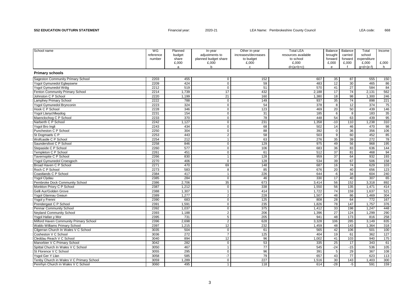S52 EDUCATION OUTTURN STATEMENT **Financial year:** 2020-21 LEA Name: Pembrokeshire County Council LEA code: 668

| School name                              | WG        | Planned | In-year              | Other in-year       | <b>Total LEA</b>    | Balance         | Balance          | Total        | Income          |
|------------------------------------------|-----------|---------|----------------------|---------------------|---------------------|-----------------|------------------|--------------|-----------------|
|                                          | reference | budget  | adjustments to       | increases/decreases | resources available | brought         | carried          | school       |                 |
|                                          | number    | share   | planned budget share | to budget           | to school           | forward         | forward          | expenditure  |                 |
|                                          |           | £,000   | £,000                | £,000               | £.000               | £,000           | £,000            | £,000        | £,000           |
|                                          |           | a       | b                    | $\mathbf{C}$        | $d=(a+b+c)$         | e               |                  | $q= d+(e-f)$ | h.              |
| <b>Primary schools</b>                   |           |         |                      |                     |                     |                 |                  |              |                 |
| Sageston Community Primary School        | 2203      | 455     | $\mathsf 0$          | 152                 | 607                 | 35              | 87               | 555          | 150             |
| Ysgol Gymunedol Eglwyswrw                | 2209      | 424     | $\mathbf 0$          | 59                  | 483                 | $\overline{12}$ | 30               | 465          | 86              |
| Ysgol Gymunedol Wdig                     | 2212      | 519     | $\mathbf 0$          | 51                  | 570                 | 41              | $\overline{27}$  | 584          | 84              |
| Fenton Community Primary School          | 2214      | 1,739   | 17                   | 432                 | 2,188               | 17              | 74               | 2,131        | 562             |
| Johnston C P School                      | 2220      | 1,199   | 21                   | 160                 | 1,380               | 18              | 98               | 1,300        | 246             |
| <b>Lamphey Primary School</b>            | 2222      | 788     | $\mathsf 0$          | 149                 | 937                 | 35              | 74               | 898          | 221             |
| Ysgol Gymunedol Brynconin                | 2223      | 324     | $\mathbf 0$          | 54                  | 378                 | $\overline{8}$  | 12               | 374          | 75              |
| Hook C P School                          | 2228      | 346     | $\mathbf 0$          | 123                 | 469                 | 20              | 50               | 439          | $\frac{146}{2}$ |
| Ysgol Llanychllwydog                     | 2231      | 154     | $\mathbf 0$          | 31                  | 185                 | 6               | 8                | 183          | 35              |
| Maenclochog C P School                   | 2233      | 370     | $\mathbf 0$          | 78                  | 448                 | 54              | 63               | 439          | 95              |
| Narberth C P School                      | 2242      | 1,127   | $\mathsf 0$          | 231                 | 1,358               | $-10$           | 110              | 1,238        | 310             |
| Ysgol Bro Ingli                          | 2243      | 434     | $\mathbf 0$          | 68                  | 502                 | 14              | 46               | 470          | 98              |
| Puncheston C P School                    | 2250      | 304     | $\mathbf 0$          | 88                  | 392                 | $\mathbf{0}$    | 36               | 356          | 106             |
| St Dogmaels C P                          | 2253      | 443     | $\overline{2}$       | 58                  | 503                 | 9               | 60               | 452          | 85              |
| Wolfcastle C P School                    | 2254      | 212     | $\mathbf{1}$         | 63                  | 276                 | 35              | 39               | 272          | 78              |
| Saundersfoot C P School                  | 2258      | 846     | $\mathbf 0$          | 129                 | 975                 | 49              | 56               | 968          | 195             |
| Stepaside C P School                     | 2260      | 577     | $\mathsf 0$          | 106                 | 683                 | 36              | 83               | 636          | 144             |
| <b>Templeton C P School</b>              | 2261      | 451     | $\overline{0}$       | 61                  | 512                 | 37              | 81               | 468          | 94              |
| Tavernspite C P School                   | 2266      | 830     | $\mathbf{1}$         | 128                 | 959                 | 37              | 64               | 932          | 193             |
| Ysgol Gymunedol Croesgoch                | 2270      | 406     | $\mathsf 0$          | 128                 | 534                 | 39              | 67               | 506          | 158             |
| Broad Haven C P School                   | 2271      | 470     | 69                   | 148                 | 687                 | 16              | $\overline{74}$  | 629          | 103             |
| Roch C P School                          | 2273      | 583     | 8                    | 85                  | 676                 | 20              | 40               | 656          | 123             |
| Coastlands C P School                    | 2384      | 417     | $\mathbf{1}$         | 226                 | 644                 | $-6$            | $\overline{34}$  | 604          | 240             |
| <b>Ysgol Clydau</b>                      | 2385      | 284     | $\mathbf 0$          | 46                  | 330                 | 17              | 40               | 307          | 65              |
| Pembroke Dock Community School           | 2386      | 2,706   | 35                   | 673                 | 3,414               | 56              | 152              | 3,318        | 892             |
| Monkton Priory C P School                | 2387      | 1,212   | $\mathbf 0$          | 338                 | 1,550               | 56              | 135              | 1,471        | 414             |
| Gelli Aur/Golden Grove                   | 2388      | 1,307   | $\overline{1}$       | 414                 | 1,722               | 74              | 159              | 1,637        | 521             |
| Ysgol Glannau Gwaun                      | 2389      | 1,277   | $\overline{2}$       | 228                 | 1,507               | 48              | 86               | 1,469        | 304             |
| Ysgol y Frenni                           | 2390      | 683     | $\mathsf 0$          | 125                 | 808                 | $\overline{28}$ | 64               | 772          | 167             |
| Prendergast C P School                   | 2391      | 1,591   | $\mathsf 0$          | 235                 | 1.826               | 78              | 147              | 1,757        | 376             |
| Pennar Community School                  | 2392      | 1,037   | $\mathsf 0$          | 375                 | 1,412               | 33              | 198              | 1,247        | 448             |
| <b>Neyland Community School</b>          | 2393      | 1,188   | $\sqrt{2}$           | 206                 | 1,396               | 27              | $\overline{124}$ | 1,299        | 290             |
| Ysgol Hafan y Mor                        | 2395      | 731     | 5                    | 205                 | 941                 | 48              | 173              | 816          | 258             |
| Milford Haven Community Primary School   | 2396      | 2,698   | $\sqrt{2}$           | 628                 | 3,328               | 106             | 285              | 3,149        | 835             |
| Waldo Williams Primary School            | 2397      | 1,215   | 12                   | 232                 | 1,459               | 48              | $\overline{143}$ | 1,364        | 318             |
| Cilgerran Church In Wales V C School     | 3035      | 504     | $\mathsf 0$          | 61                  | 565                 | 42              | 106              | 501          | 100             |
| Cosheston V C School                     | 3036      | 272     | $\overline{7}$       | 125                 | 404                 | 19              | 61               | 362          | 127             |
| Cleddau Reach V C School                 | 3040      | 894     | 12                   | 96                  | 1.002               | 41              | 103              | 940          | 175             |
| Manorbier V C Primary School             | 3042      | 282     | $\Omega$             | 53                  | 335                 | 25              | 17               | 343          | 61              |
| Spittal Church In Wales V C School       | 3050      | 467     | $\mathbf{1}$         | $\overline{77}$     | 545                 | $-24$           | $-15$            | 536          | 105             |
| St Florence V C School                   | 3055      | 295     | $\mathbf 0$          | 96                  | 391                 | 5               | 29               | 367          | 108             |
| Ysgol Ger Y Llan                         | 3058      | 585     | $-7$                 | 79                  | 657                 | 43              | $\overline{77}$  | 623          | 113             |
| Tenby Church in Wales V C Primary School | 3059      | 1.289   | $\mathbf 0$          | 227                 | 1.516               | 30              | 143              | 1.403        | 300             |
| Penrhyn Church in Wales V C School       | 3060      | 495     | $\mathbf{1}$         | 118                 | 614                 | $-28$           | $-5$             | 591          | 159             |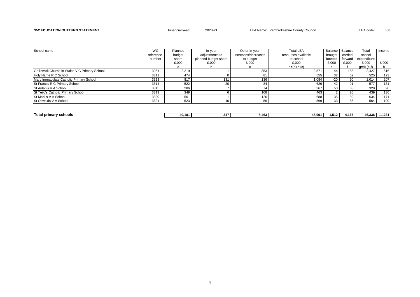#### S52 EDUCATION OUTTURN STATEMENT **Financial year:** 2020-21 LEA Name: Pembrokeshire County Council LEA code: 668

| School name                                   | WG        | Planned | In-vear              | Other in-year       | <b>Total LEA</b>    |         | Balance   Balance | Total        | Income |
|-----------------------------------------------|-----------|---------|----------------------|---------------------|---------------------|---------|-------------------|--------------|--------|
|                                               | reference | budget  | adiustments to       | increases/decreases | resources available | brouaht | carried           | school       |        |
|                                               | number    | share   | planned budget share | to budget           | to school           | forward | forward           | expenditure  |        |
|                                               |           | £,000   | £,000                | £,000               | £,000               | £,000   | £,000             | £,000        | £,000  |
|                                               |           | а       |                      |                     | $d=(a+b+c)$         | e       |                   | $q= d+(e-f)$ |        |
| Gelliswick Church in Wales V C Primary School | 3061      | 2,219   |                      | 353                 | 2,571               | 44      | 188               | 2,427        | 516    |
| Holy Name R C School                          | 3311      | 474     |                      | 81                  | 555                 | 32      | 62                | 525          | 123    |
| Mary Immaculate Catholic Primary School       | 3313      | 817     | 131                  | 136                 | 1,084               | $-20$   | 50                | 1,014        | 207    |
| St Francis R C Primary School                 | 3314      | 522     | 20                   | 84                  | 626                 | 42      | 91                | 577          | 131    |
| St Aidan's V A School                         | 3315      | 286     |                      | 74                  | 367                 | 50      | 88                | 329          | 90     |
| St Teilo's Catholic Primary School            | 3319      | 349     |                      | 108                 | 463                 |         | 26                | 439          | 130    |
| St Mark's V A School                          | 3320      | 561     |                      | 126                 | 688                 | 35      | 89                | 634          | 171    |
| St Oswalds V A School                         | 3321      | 523     | $-10$                | 56                  | 569                 | 33      | 38                | 564          | 100    |

**Total primary schools 40,181 347 8,463 48,991 1,512 4,167 46,336 11,231**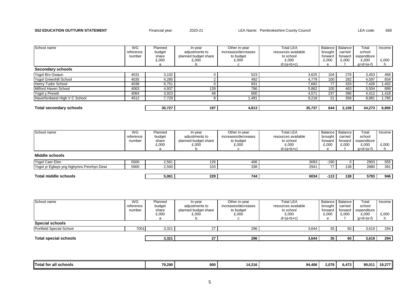#### S52 EDUCATION OUTTURN STATEMENT **Financial year:** 2020-21 LEA Name: Pembrokeshire County Council LEA code: 668

| School name                    | WG<br>reference<br>number | Planned<br>budget<br>share<br>£,000 | In-year<br>adjustments to<br>planned budget share<br>£.000 | Other in-year<br>increases/decreases<br>to budget<br>£,000 | <b>Total LEA</b><br>resources available<br>to school<br>£,000 | brought<br>forward<br>£.000 | Balance Balance<br>carried<br>forward<br>£,000 | Total<br>school<br>expenditure<br>£.000 | Income I<br>£,000 |
|--------------------------------|---------------------------|-------------------------------------|------------------------------------------------------------|------------------------------------------------------------|---------------------------------------------------------------|-----------------------------|------------------------------------------------|-----------------------------------------|-------------------|
|                                |                           | a                                   |                                                            |                                                            | $d=(a+b+c)$                                                   | e                           |                                                | $q= d+(e-f)$                            |                   |
| <b>Secondary schools</b>       |                           |                                     |                                                            |                                                            |                                                               |                             |                                                |                                         |                   |
| Ysgol Bro Gwaun                | 4031                      | 3,102                               |                                                            | 523                                                        | 3,625                                                         | 104                         | 276                                            | 3,453                                   | 468               |
| <b>Ysgol Greenhill School</b>  | 4035                      | 4,285                               |                                                            | 492                                                        | 4,779                                                         | 100 <sub>1</sub>            | 282                                            | 4,597                                   | 834               |
| Henry Tudor School             | 4038                      | 6,751                               |                                                            | 931                                                        | 7,682                                                         | 771                         | 333                                            | 7,426                                   | 1,402             |
| Milford Haven School           | 4063                      | 4,937                               | 139                                                        | 786                                                        | 5,862                                                         | 105                         | 463                                            | 5,504                                   | 899               |
| Ysgol y Preseli                | 4064                      | 3,923                               | 48                                                         | 600                                                        | 4,571                                                         | 237                         | 396                                            | 4,412                                   | 1,418             |
| Haverfordwest High V C School  | 4512                      | 7,729                               |                                                            | 1,481                                                      | 9,218                                                         | 21 <sub>1</sub>             | 358                                            | 8,881                                   | 1,785             |
|                                |                           |                                     |                                                            |                                                            |                                                               |                             |                                                |                                         |                   |
| <b>Total secondary schools</b> |                           | 30,727                              | 197                                                        | 4,813                                                      | 35,737                                                        | 644 l                       | 2,108                                          | 34,273                                  | 6,806             |

| School name                              | WG        | Planned | In-vear              | Other in-year       | Total LEA           |         | Balance Balance | Total       | Income I |
|------------------------------------------|-----------|---------|----------------------|---------------------|---------------------|---------|-----------------|-------------|----------|
|                                          | reference | budget  | adjustments to       | increases/decreases | resources available | brought | carried         | school      |          |
|                                          | number    | share   | planned budget share | to budget           | to school           | forward | forward         | expenditure |          |
|                                          |           | £,000   | £,000                | £,000               | £,000               | £,000   | £.000           | £.000       | £.000    |
|                                          |           | а       |                      |                     | $d=(a+b+c)$         |         |                 | g=d+(e-f)   |          |
| Middle schools                           |           |         |                      |                     |                     |         |                 |             |          |
| Ysgol Caer Elen                          | 5500      | 2,561   | 126                  | 406                 | 3093                | -190    |                 | 2903        | 555      |
| Ysgol yr Eglwys yng Nghymru Penrhyn Dewi | 5900      | 2,500   | 103                  | 338                 | 2941                | 77 I    | 138             | 2880        | 391      |
|                                          |           |         |                      |                     |                     |         |                 |             |          |
| Total middle schools                     |           | 5,061   | 229                  | 744                 | 6034                | $-113$  | 138             | 5783        | 946      |

| School name                  | WG        | Planned | In-vear              | Other in-year       | <b>Total LEA</b>    |                 | Balance Balance | Total        | Income I |
|------------------------------|-----------|---------|----------------------|---------------------|---------------------|-----------------|-----------------|--------------|----------|
|                              | reference | budget  | adjustments to       | increases/decreases | resources available | brought         | carried         | school       |          |
|                              | number    | share   | planned budget share | to budget           | to school           | forward         | forward         | expenditure  |          |
|                              |           | £,000   | £,000                | £,000               | £,000               | £.000           | £,000           | £,000        | £,000    |
|                              |           |         |                      |                     | $d=(a+b+c)$         |                 |                 | $q= d+(e-f)$ |          |
| Special schools              |           |         |                      |                     |                     |                 |                 |              |          |
| Portfield Special School     | 7001      | 3,321   |                      | 296                 | 3,644               | 35              | 60              | 3,619        | 294      |
|                              |           |         |                      |                     |                     |                 |                 |              |          |
| <b>Total special schools</b> |           | 3,321   | 27                   | 296                 | 3,644               | 35 <sub>1</sub> | 60              | 3,619        | 294      |

| Total for<br><br>r all schools | 79.290 | 800 | 14.316 | 94.406 | 2.078 | 6.473 | 90.01 | 10.277 |
|--------------------------------|--------|-----|--------|--------|-------|-------|-------|--------|
|                                |        |     |        |        |       |       |       |        |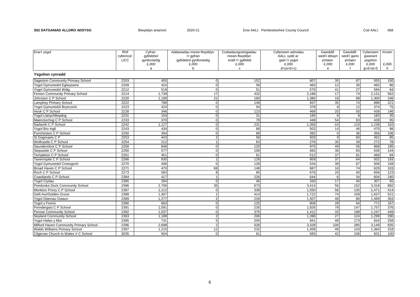| Enw'r ysgol                              | Rhif        | Cyfran       | Addasiadau mewn-flwyddyn | Codiadau/gostngiadau | Cyfanswm adnodau | Gweddill     | Gweddill     | Cyfanswm    | Incwm |
|------------------------------------------|-------------|--------------|--------------------------|----------------------|------------------|--------------|--------------|-------------|-------|
|                                          | cyfeirnod   | avilidebol   | i'r gyfran               | mewn-flwyddyn        | AALL sydd ar     | wedi'i ddwyn | wedi'i gario | qwariant    |       |
|                                          | <b>LICC</b> | gynlluniedig | gyllidebol gynlluniedig  | eraill i'r gyllideb  | gael i'r ysgol   | ymlaen       | ymlaen       | ysgolion    |       |
|                                          |             | £,000        | £,000                    | £,000                | £,000            | £,000        | £,000        | £,000       | £,000 |
|                                          |             | a            | h                        | C                    | $d=(a+b+c)$      | e            |              | $q=d+(e-f)$ | h.    |
| <b>Ysgolion cynradd</b>                  |             |              |                          |                      |                  |              |              |             |       |
| <b>Sageston Community Primary School</b> | 2203        | 455          | $\Omega$                 | 152                  | 607              | 35           | 87           | 555         | 150   |
| Ysgol Gymunedol Eglwyswrw                | 2209        | 424          | $\Omega$                 | 59                   | 483              | 12           | 30           | 465         | 86    |
| Ysgol Gymunedol Wdig                     | 2212        | 519          | $\Omega$                 | 51                   | 570              | 41           | 27           | 584         | 84    |
| Fenton Community Primary School          | 2214        | 1,739        | 17                       | 432                  | 2,188            | 17           | 74           | 2.131       | 562   |
| Johnston C P School                      | 2220        | 1,199        | 21                       | 160                  | 1,380            | 18           | 98           | 1,300       | 246   |
| Lamphey Primary School                   | 2222        | 788          | $\Omega$                 | 149                  | 937              | 35           | 74           | 898         | 221   |
| Ysgol Gymunedol Brynconin                | 2223        | 324          | $\Omega$                 | 54                   | 378              | 8            | 12           | 374         | 75    |
| Hook C P School                          | 2228        | 346          | $\Omega$                 | 123                  | 469              | 20           | 50           | 439         | 146   |
| Ysgol Llanychllwydog                     | 2231        | 154          | $\Omega$                 | 31                   | 185              | 6            | $\mathsf{R}$ | 183         | 35    |
| Maenclochog C P School                   | 2233        | 370          | $\Omega$                 | 78                   | 448              | 54           | 63           | 439         | 95    |
| Narberth C P School                      | 2242        | 1,127        | $\Omega$                 | 231                  | 1,358            | $-10$        | 110          | 1,238       | 310   |
| Ysgol Bro Ingli                          | 2243        | 434          | $\Omega$                 | 68                   | 502              | 14           | 46           | 470         | 98    |
| Puncheston C P School                    | 2250        | 304          | $\Omega$                 | 88                   | 392              | $\Omega$     | 36           | 356         | 106   |
| St Dogmaels C P                          | 2253        | 443          | 2                        | 58                   | 503              | q            | 60           | 452         | 85    |
| Wolfcastle C P School                    | 2254        | 212          |                          | 63                   | 276              | 35           | 39           | 272         | 78    |
| Saundersfoot C P School                  | 2258        | 846          | $\Omega$                 | 129                  | 975              | 49           | 56           | 968         | 195   |
| Stepaside C P School                     | 2260        | 577          | $\Omega$                 | 106                  | 683              | 36           | 83           | 636         | 144   |
| Templeton C P School                     | 2261        | 451          | <sup>n</sup>             | 61                   | 512              | 37           | 81           | 468         | 94    |
| Tavernspite C P School                   | 2266        | 830          |                          | 128                  | 959              | 37           | 64           | 932         | 193   |
| Ysgol Gymunedol Croesgoch                | 2270        | 406          | $\Omega$                 | 128                  | 534              | 39           | 67           | 506         | 158   |
| Broad Haven C P School                   | 2271        | 470          | 69                       | 148                  | 687              | 16           | 74           | 629         | 103   |
| Roch C P School                          | 2273        | 583          | 8                        | 85                   | 676              | 20           | 40           | 656         | 123   |
| Coastlands C P School                    | 2384        | 417          |                          | 226                  | 644              | $-6$         | 34           | 604         | 240   |
| <b>Ysgol Clydau</b>                      | 2385        | 284          | $\Omega$                 | 46                   | 330              | 17           | 40           | 307         | 65    |
| Pembroke Dock Community School           | 2386        | 2,706        | 35                       | 673                  | 3,414            | 56           | 152          | 3,318       | 892   |
| Monkton Priory C P School                | 2387        | 1,212        | O                        | 338                  | 1,550            | 56           | 135          | 1,471       | 414   |
| Gelli Aur/Golden Grove                   | 2388        | 1,307        |                          | 414                  | 1,722            | 74           | 159          | 1,637       | 521   |
| Ysgol Glannau Gwaun                      | 2389        | 1,277        |                          | 228                  | 1,507            | 48           | 86           | 1,469       | 304   |
| Ysgol y Frenni                           | 2390        | 683          | $\Omega$                 | 125                  | 808              | 28           | 64           | 772         | 167   |
| Prendergast C P School                   | 2391        | 1,591        | U                        | 235                  | 1,826            | 78           | 147          | 1,757       | 376   |
| <b>Pennar Community School</b>           | 2392        | 1,037        | $\Omega$                 | 375                  | 1,412            | 33           | 198          | 1,247       | 448   |
| <b>Neyland Community School</b>          | 2393        | 1,188        | $\overline{2}$           | 206                  | 1,396            | 27           | 124          | 1,299       | 290   |
| Ysgol Hafan y Mor                        | 2395        | 731          | 5                        | 205                  | 941              | 48           | 173          | 816         | 258   |
| Milford Haven Community Primary School   | 2396        | 2,698        | $\mathfrak{p}$           | 628                  | 3,328            | 106          | 285          | 3,149       | 835   |
| Waldo Williams Primary School            | 2397        | 1,215        | 12                       | 232                  | 1,459            | 48           | 143          | 1,364       | 318   |
| Cilgerran Church In Wales V C School     | 3035        | 504          | $\Omega$                 | 61                   | 565              | 42           | 106          | 501         | 100   |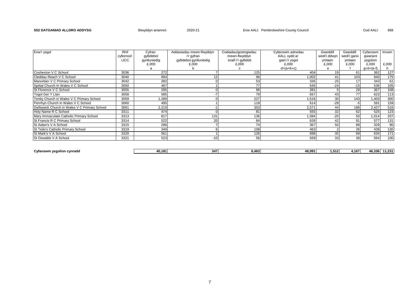| Enw'r ysgol                                   | Rhif        | Cyfran       | Addasiadau mewn-flwyddyn | Codiadau/gostngiadau | Cyfanswm adnodau | Gweddill        | Gweddill        | Cyfanswm    | Incwm |
|-----------------------------------------------|-------------|--------------|--------------------------|----------------------|------------------|-----------------|-----------------|-------------|-------|
|                                               | cyfeirnod   | qyllidebol   | i'r gyfran               | mewn-flwyddyn        | AALL sydd ar     | wedi'i ddwyn    | wedi'i gario    | qwariant    |       |
|                                               | <b>LICC</b> | gynlluniedig | gyllidebol gynlluniedig  | eraill i'r gyllideb  | gael i'r ysgol   | ymlaen          | ymlaen          | ysgolion    |       |
|                                               |             | £,000        | £,000                    | £,000                | £,000            | £.000           | £,000           | £,000       | £,000 |
|                                               |             |              |                          |                      | $d=(a+b+c)$      |                 |                 | $g=d+(e-f)$ |       |
| Cosheston V C School                          | 3036        | 272          |                          | 125                  | 404              | 19              | 61              | 362         | 127   |
| Cleddau Reach V C School                      | 3040        | 894          |                          | 96                   | 1,002            | 41              | 103             | 940         | 175   |
| Manorbier V C Primary School                  | 3042        | 282          |                          | 53                   | 335              | 25              | 17              | 343         | 61    |
| Spittal Church In Wales V C School            | 3050        | 467          |                          | 77                   | 545              | $-24$           | $-15$           | 536         | 105   |
| St Florence V C School                        | 3055        | 295          |                          | 96                   | 391              |                 | 29              | 367         | 108   |
| Ysgol Ger Y Llan                              | 3058        | 585          |                          | 79                   | 657              | 43              | 77              | 623         | 113   |
| Tenby Church in Wales V C Primary School      | 3059        | .289         |                          | 227                  | 1,516            | 30 <sup>1</sup> | 143             | 1,403       | 300   |
| Penrhyn Church in Wales V C School            | 3060        | 495          |                          | 118                  | 614              | $-28$           |                 | 591         | 159   |
| Gelliswick Church in Wales V C Primary School | 3061        | 2,219        |                          | 353                  | 2,571            | 44              | 188             | 2,427       | 516   |
| Holy Name R C School                          | 3311        | 474          |                          | 81                   | 555              | 32 <sub>l</sub> | 62              | 525         | 123   |
| Mary Immaculate Catholic Primary School       | 3313        | 817          | 131                      | 136                  | 1,084            | $-20$           | 50              | 1,014       | 207   |
| St Francis R C Primary School                 | 3314        | 522          | 20                       | 84                   | 626              | 42              | 91              | 577         | 131   |
| St Aidan's V A School                         | 3315        | 286          |                          | 74                   | 367              | 50              | 88              | 329         | 90    |
| St Teilo's Catholic Primary School            | 3319        | 349          |                          | 108                  | 463              |                 | <b>26</b>       | 439         | 130   |
| St Mark's V A School                          | 3320        | 561          |                          | 126                  | 688              | 35              | 89              | 634         | 171   |
| St Oswalds V A School                         | 3321        | 523          | $-10$                    | 56                   | 569              | 33              | 38 <sup>1</sup> | 564         | 100   |

| Cvf<br>$\cdots$<br>`าทรพ.<br>. . | 40.181 | 217<br>- 34. | $\overline{\phantom{a}}$ | $\sim$ $\sim$ $\sim$ $\sim$<br>ה החי<br> | 1.512 | . <b>. .</b><br>$+10/$ | $\sim$ $\sim$ $\sim$ $\sim$<br>- ი.პ. <sup>ვო</sup><br>z., 1 |
|----------------------------------|--------|--------------|--------------------------|------------------------------------------|-------|------------------------|--------------------------------------------------------------|
|                                  |        |              |                          |                                          |       |                        |                                                              |